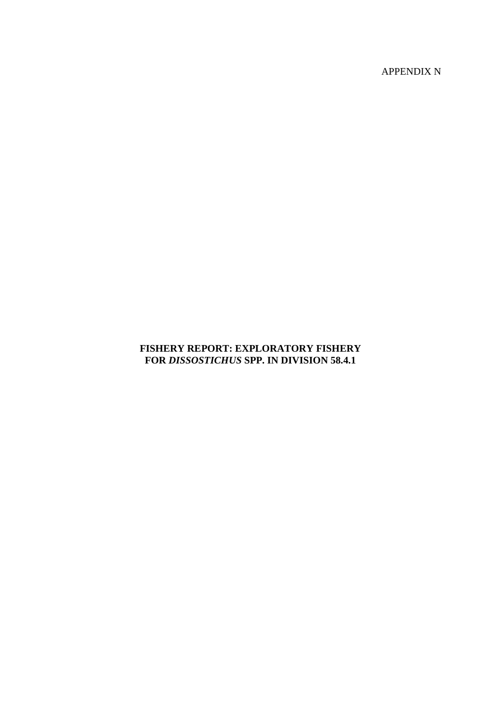APPENDIX N

# **FISHERY REPORT: EXPLORATORY FISHERY FOR** *DISSOSTICHUS* **SPP. IN DIVISION 58.4.1**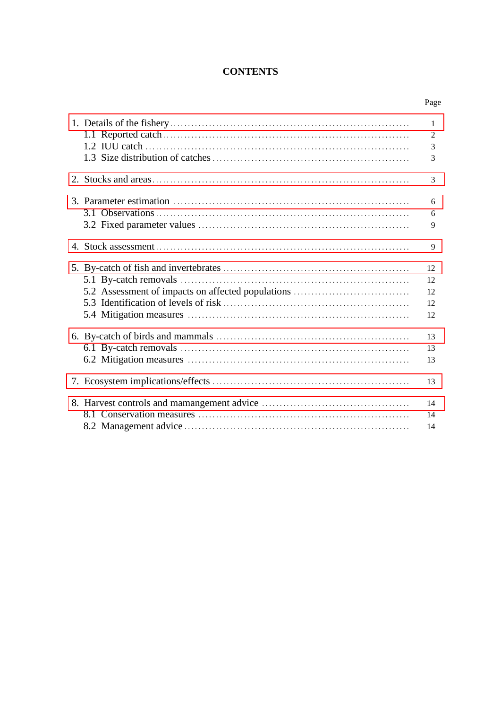# **CONTENTS**

|                                                   | $\mathbf{1}$   |
|---------------------------------------------------|----------------|
|                                                   | $\overline{2}$ |
|                                                   | 3              |
|                                                   | 3              |
|                                                   | 3              |
|                                                   | 6              |
|                                                   | 6              |
|                                                   | 9              |
|                                                   | 9              |
|                                                   | 12             |
|                                                   | 12             |
| 5.2 Assessment of impacts on affected populations | 12             |
|                                                   | 12             |
|                                                   | 12             |
|                                                   | 13             |
|                                                   | 13             |
|                                                   | 13             |
|                                                   | 13             |
|                                                   | 14             |
|                                                   | 14             |
|                                                   | 14             |
|                                                   |                |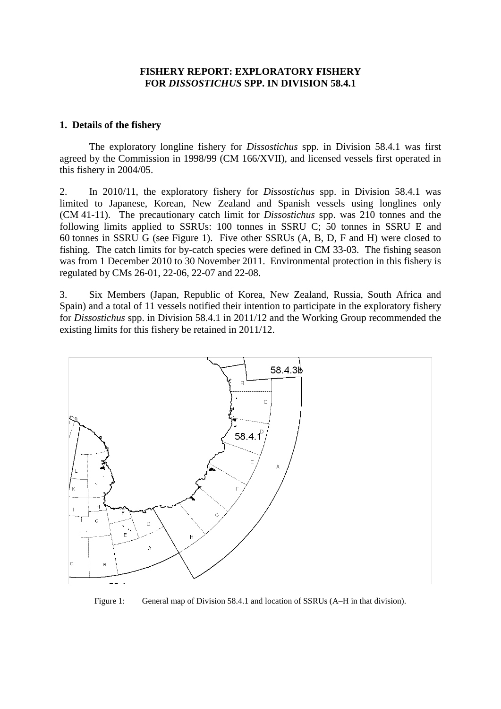# **FISHERY REPORT: EXPLORATORY FISHERY FOR** *DISSOSTICHUS* **SPP. IN DIVISION 58.4.1**

#### <span id="page-2-0"></span>**1. Details of the fishery**

The exploratory longline fishery for *Dissostichus* spp. in Division 58.4.1 was first agreed by the Commission in 1998/99 (CM 166/XVII), and licensed vessels first operated in this fishery in 2004/05.

2. In 2010/11, the exploratory fishery for *Dissostichus* spp. in Division 58.4.1 was limited to Japanese, Korean, New Zealand and Spanish vessels using longlines only (CM 41-11). The precautionary catch limit for *Dissostichus* spp. was 210 tonnes and the following limits applied to SSRUs: 100 tonnes in SSRU C; 50 tonnes in SSRU E and 60 tonnes in SSRU G (see Figure 1). Five other SSRUs (A, B, D, F and H) were closed to fishing. The catch limits for by-catch species were defined in CM 33-03. The fishing season was from 1 December 2010 to 30 November 2011. Environmental protection in this fishery is regulated by CMs 26-01, 22-06, 22-07 and 22-08.

3. Six Members (Japan, Republic of Korea, New Zealand, Russia, South Africa and Spain) and a total of 11 vessels notified their intention to participate in the exploratory fishery for *Dissostichus* spp. in Division 58.4.1 in 2011/12 and the Working Group recommended the existing limits for this fishery be retained in 2011/12.



Figure 1: General map of Division 58.4.1 and location of SSRUs (A–H in that division).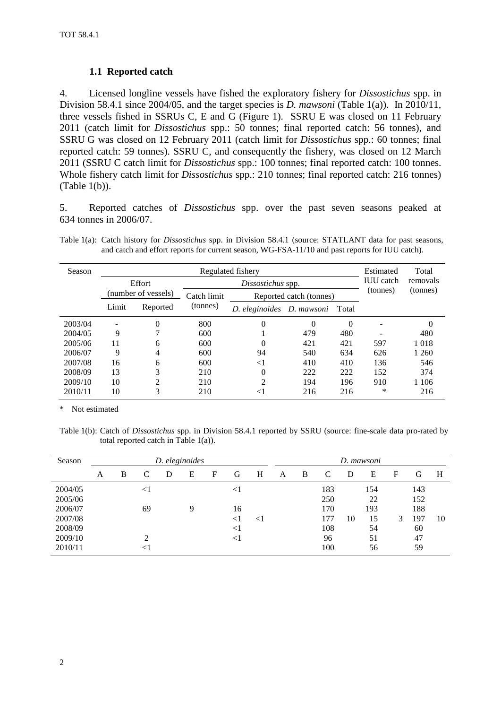# **1.1 Reported catch**

4. Licensed longline vessels have fished the exploratory fishery for *Dissostichus* spp. in Division 58.4.1 since 2004/05, and the target species is *D. mawsoni* (Table 1(a)). In 2010/11, three vessels fished in SSRUs C, E and G (Figure 1). SSRU E was closed on 11 February 2011 (catch limit for *Dissostichus* spp.: 50 tonnes; final reported catch: 56 tonnes), and SSRU G was closed on 12 February 2011 (catch limit for *Dissostichus* spp.: 60 tonnes; final reported catch: 59 tonnes). SSRU C, and consequently the fishery, was closed on 12 March 2011 (SSRU C catch limit for *Dissostichus* spp.: 100 tonnes; final reported catch: 100 tonnes. Whole fishery catch limit for *Dissostichus* spp.: 210 tonnes; final reported catch: 216 tonnes) (Table 1(b)).

5. Reported catches of *Dissostichus* spp. over the past seven seasons peaked at 634 tonnes in 2006/07.

Table 1(a): Catch history for *Dissostichus* spp. in Division 58.4.1 (source: STATLANT data for past seasons, and catch and effort reports for current season, WG-FSA-11/10 and past reports for IUU catch).

| Season  |       |                     |             | Regulated fishery               | Estimated | Total    |                  |          |
|---------|-------|---------------------|-------------|---------------------------------|-----------|----------|------------------|----------|
|         |       | Effort              |             | Dissostichus spp.               |           |          | <b>IUU</b> catch | removals |
|         |       | (number of vessels) | Catch limit | Reported catch (tonnes)         |           |          | (tonnes)         | (tonnes) |
|         | Limit | Reported            | (tonnes)    | D. eleginoides D. mawsoni Total |           |          |                  |          |
| 2003/04 | ٠     | 0                   | 800         | 0                               | $\Omega$  | $\Omega$ | ۰                | 0        |
| 2004/05 | 9     |                     | 600         |                                 | 479       | 480      |                  | 480      |
| 2005/06 | 11    | 6                   | 600         | 0                               | 421       | 421      | 597              | 1018     |
| 2006/07 | 9     | 4                   | 600         | 94                              | 540       | 634      | 626              | 1 260    |
| 2007/08 | 16    | 6                   | 600         | $\leq$ 1                        | 410       | 410      | 136              | 546      |
| 2008/09 | 13    | 3                   | 210         | 0                               | 222       | 222      | 152              | 374      |
| 2009/10 | 10    | ↑                   | 210         | 2                               | 194       | 196      | 910              | 1 1 0 6  |
| 2010/11 | 10    | 3                   | 210         | $\leq$ 1                        | 216       | 216      | ∗                | 216      |

\* Not estimated

Table 1(b): Catch of *Dissostichus* spp. in Division 58.4.1 reported by SSRU (source: fine-scale data pro-rated by total reported catch in Table 1(a)).

| Season  |   |   |        | D. eleginoides |   |   |          |        |   |   |     |    | D. mawsoni |   |     |    |
|---------|---|---|--------|----------------|---|---|----------|--------|---|---|-----|----|------------|---|-----|----|
|         | A | B |        | D              | E | F | G        | Н      | A | B | C   | D  | Ε          | F | G   | Н  |
| 2004/05 |   |   | $\leq$ |                |   |   | $\leq$ 1 |        |   |   | 183 |    | 154        |   | 143 |    |
| 2005/06 |   |   |        |                |   |   |          |        |   |   | 250 |    | 22         |   | 152 |    |
| 2006/07 |   |   | 69     |                | 9 |   | 16       |        |   |   | 170 |    | 193        |   | 188 |    |
| 2007/08 |   |   |        |                |   |   | $<$ l    | $\leq$ |   |   | 177 | 10 | 15         | 3 | 197 | 10 |
| 2008/09 |   |   |        |                |   |   | $<$ 1    |        |   |   | 108 |    | 54         |   | 60  |    |
| 2009/10 |   |   | ◠      |                |   |   | $<$ ]    |        |   |   | 96  |    | 51         |   | 47  |    |
| 2010/11 |   |   |        |                |   |   |          |        |   |   | 100 |    | 56         |   | 59  |    |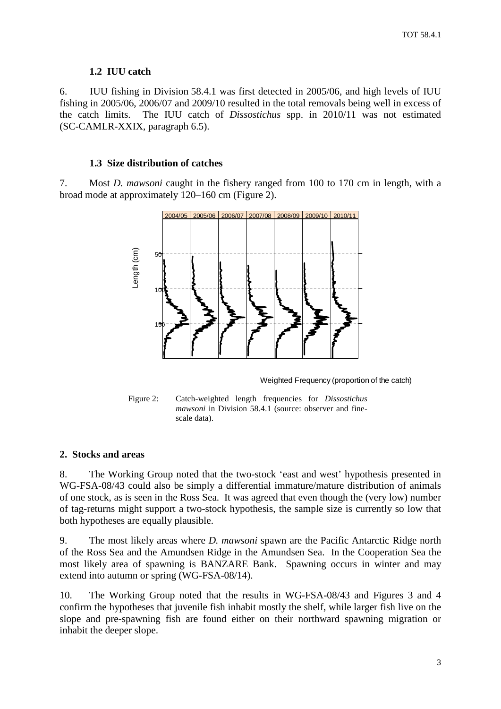# **1.2 IUU catch**

<span id="page-4-0"></span>6. IUU fishing in Division 58.4.1 was first detected in 2005/06, and high levels of IUU fishing in 2005/06, 2006/07 and 2009/10 resulted in the total removals being well in excess of the catch limits. The IUU catch of *Dissostichus* spp. in 2010/11 was not estimated (SC-CAMLR-XXIX, paragraph 6.5).

# **1.3 Size distribution of catches**

7. Most *D. mawsoni* caught in the fishery ranged from 100 to 170 cm in length, with a broad mode at approximately 120–160 cm (Figure 2).



Weighted Frequency (proportion of the catch)



# **2. Stocks and areas**

8. The Working Group noted that the two-stock 'east and west' hypothesis presented in WG-FSA-08/43 could also be simply a differential immature/mature distribution of animals of one stock, as is seen in the Ross Sea. It was agreed that even though the (very low) number of tag-returns might support a two-stock hypothesis, the sample size is currently so low that both hypotheses are equally plausible.

9. The most likely areas where *D. mawsoni* spawn are the Pacific Antarctic Ridge north of the Ross Sea and the Amundsen Ridge in the Amundsen Sea. In the Cooperation Sea the most likely area of spawning is BANZARE Bank. Spawning occurs in winter and may extend into autumn or spring (WG-FSA-08/14).

10. The Working Group noted that the results in WG-FSA-08/43 and Figures 3 and 4 confirm the hypotheses that juvenile fish inhabit mostly the shelf, while larger fish live on the slope and pre-spawning fish are found either on their northward spawning migration or inhabit the deeper slope.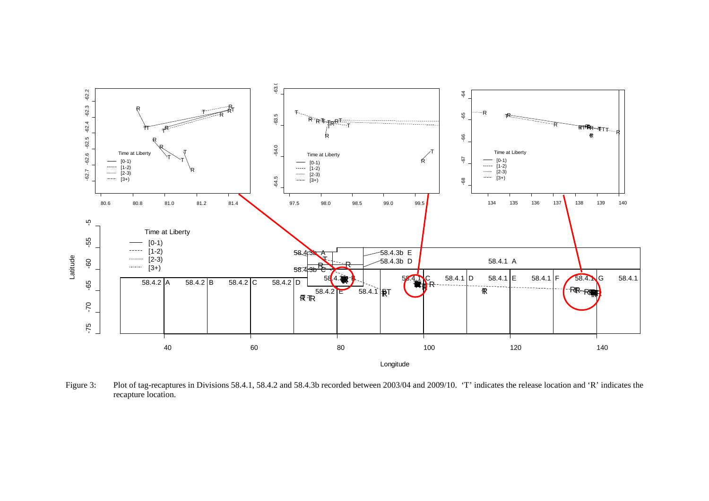

Figure 3: Plot of tag-recaptures in Divisions 58.4.1, 58.4.2 and 58.4.3b recorded between 2003/04 and 2009/10. 'T' indicates the release location and 'R' indicates the recapture location.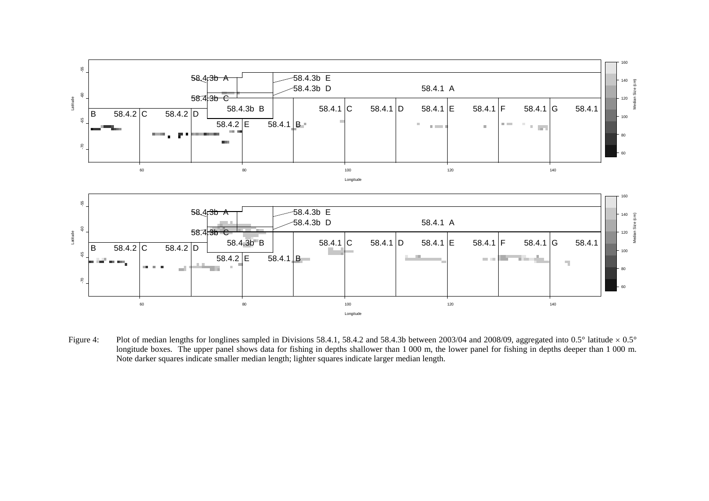

Figure 4: Plot of median lengths for longlines sampled in Divisions 58.4.1, 58.4.2 and 58.4.3b between 2003/04 and 2008/09, aggregated into 0.5° latitude × 0.5° longitude boxes. The upper panel shows data for fishing in depths shallower than 1 000 m, the lower panel for fishing in depths deeper than 1 000 m. Note darker squares indicate smaller median length; lighter squares indicate larger median length.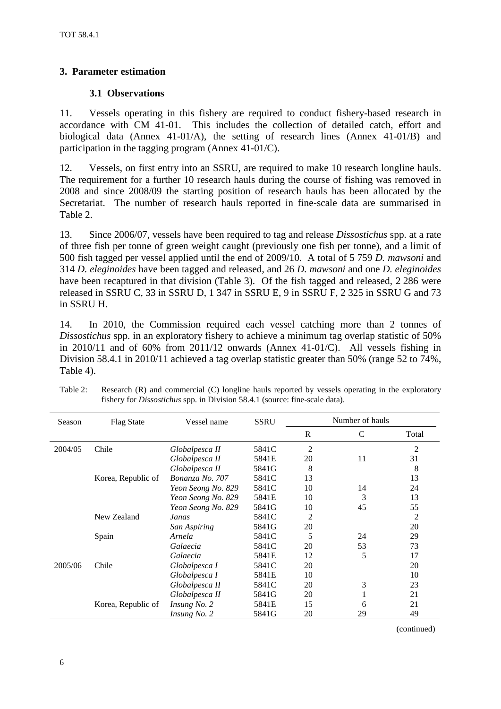# <span id="page-7-0"></span>**3. Parameter estimation**

# **3.1 Observations**

11. Vessels operating in this fishery are required to conduct fishery-based research in accordance with CM 41-01. This includes the collection of detailed catch, effort and biological data (Annex 41-01/A), the setting of research lines (Annex 41-01/B) and participation in the tagging program (Annex 41-01/C).

12. Vessels, on first entry into an SSRU, are required to make 10 research longline hauls. The requirement for a further 10 research hauls during the course of fishing was removed in 2008 and since 2008/09 the starting position of research hauls has been allocated by the Secretariat. The number of research hauls reported in fine-scale data are summarised in Table 2.

13. Since 2006/07, vessels have been required to tag and release *Dissostichus* spp. at a rate of three fish per tonne of green weight caught (previously one fish per tonne), and a limit of 500 fish tagged per vessel applied until the end of 2009/10. A total of 5 759 *D. mawsoni* and 314 *D. eleginoides* have been tagged and released, and 26 *D. mawsoni* and one *D. eleginoides* have been recaptured in that division (Table 3). Of the fish tagged and released, 2 286 were released in SSRU C, 33 in SSRU D, 1 347 in SSRU E, 9 in SSRU F, 2 325 in SSRU G and 73 in SSRU H.

14. In 2010, the Commission required each vessel catching more than 2 tonnes of *Dissostichus* spp. in an exploratory fishery to achieve a minimum tag overlap statistic of 50% in 2010/11 and of 60% from 2011/12 onwards (Annex 41-01/C). All vessels fishing in Division 58.4.1 in 2010/11 achieved a tag overlap statistic greater than 50% (range 52 to 74%, Table 4).

| Season  | <b>Flag State</b>  | Vessel name        | <b>SSRU</b> |                | Number of hauls |       |
|---------|--------------------|--------------------|-------------|----------------|-----------------|-------|
|         |                    |                    |             | R              | $\mathsf{C}$    | Total |
| 2004/05 | Chile              | Globalpesca II     | 5841C       | $\overline{2}$ |                 | 2     |
|         |                    | Globalpesca II     | 5841E       | 20             | 11              | 31    |
|         |                    | Globalpesca II     | 5841G       | 8              |                 | 8     |
|         | Korea, Republic of | Bonanza No. 707    | 5841C       | 13             |                 | 13    |
|         |                    | Yeon Seong No. 829 | 5841C       | 10             | 14              | 24    |
|         |                    | Yeon Seong No. 829 | 5841E       | 10             | 3               | 13    |
|         |                    | Yeon Seong No. 829 | 5841G       | 10             | 45              | 55    |
|         | New Zealand        | Janas              | 5841C       | 2              |                 | 2     |
|         |                    | San Aspiring       | 5841G       | 20             |                 | 20    |
|         | Spain              | Arnela             | 5841C       | 5              | 24              | 29    |
|         |                    | Galaecia           | 5841C       | 20             | 53              | 73    |
|         |                    | Galaecia           | 5841E       | 12             | 5               | 17    |
| 2005/06 | Chile              | Globalpesca I      | 5841C       | 20             |                 | 20    |
|         |                    | Globalpesca I      | 5841E       | 10             |                 | 10    |
|         |                    | Globalpesca II     | 5841C       | 20             | 3               | 23    |
|         |                    | Globalpesca II     | 5841G       | 20             |                 | 21    |
|         | Korea, Republic of | Insung No. 2       | 5841E       | 15             | 6               | 21    |
|         |                    | Insung No. 2       | 5841G       | 20             | 29              | 49    |

Table 2: Research (R) and commercial (C) longline hauls reported by vessels operating in the exploratory fishery for *Dissostichus* spp. in Division 58.4.1 (source: fine-scale data).

(continued)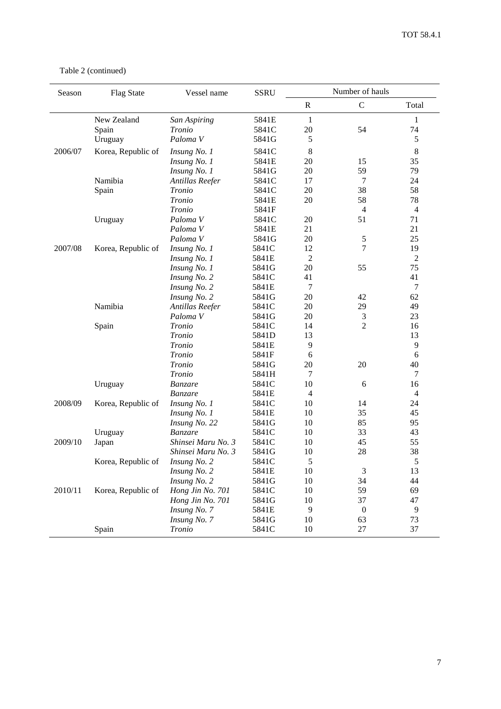Table 2 (continued)

| Season  | <b>Flag State</b>  | Vessel name         | <b>SSRU</b> |                | Number of hauls  |                |
|---------|--------------------|---------------------|-------------|----------------|------------------|----------------|
|         |                    |                     |             | $\mathbb{R}$   | $\mathsf C$      | Total          |
|         | New Zealand        | San Aspiring        | 5841E       | $\mathbf{1}$   |                  | 1              |
|         | Spain              | Tronio              | 5841C       | 20             | 54               | 74             |
|         | Uruguay            | Paloma <sub>V</sub> | 5841G       | 5              |                  | 5              |
| 2006/07 | Korea, Republic of | Insung No. 1        | 5841C       | 8              |                  | 8              |
|         |                    | Insung No. 1        | 5841E       | 20             | 15               | 35             |
|         |                    | Insung No. 1        | 5841G       | 20             | 59               | 79             |
|         | Namibia            | Antillas Reefer     | 5841C       | 17             | 7                | 24             |
|         | Spain              | Tronio              | 5841C       | 20             | 38               | 58             |
|         |                    | Tronio              | 5841E       | 20             | 58               | 78             |
|         |                    | Tronio              | 5841F       |                | $\overline{4}$   | $\overline{4}$ |
|         | Uruguay            | Paloma <sub>V</sub> | 5841C       | 20             | 51               | 71             |
|         |                    | Paloma <sub>V</sub> | 5841E       | 21             |                  | 21             |
|         |                    | Paloma V            | 5841G       | 20             | $\sqrt{5}$       | 25             |
| 2007/08 | Korea, Republic of | Insung No. 1        | 5841C       | 12             | 7                | 19             |
|         |                    | Insung No. 1        | 5841E       | $\overline{2}$ |                  | $\overline{c}$ |
|         |                    | Insung No. 1        | 5841G       | 20             | 55               | 75             |
|         |                    | Insung No. 2        | 5841C       | 41             |                  | 41             |
|         |                    | Insung No. 2        | 5841E       | 7              |                  | 7              |
|         |                    | Insung No. 2        | 5841G       | 20             | 42               | 62             |
|         | Namibia            | Antillas Reefer     | 5841C       | 20             | 29               | 49             |
|         |                    | Paloma <sub>V</sub> | 5841G       | 20             | 3                | 23             |
|         | Spain              | Tronio              | 5841C       | 14             | $\overline{2}$   | 16             |
|         |                    | <b>Tronio</b>       | 5841D       | 13             |                  | 13             |
|         |                    | <b>Tronio</b>       | 5841E       | 9              |                  | 9              |
|         |                    | Tronio              | 5841F       | 6              |                  | 6              |
|         |                    | Tronio              | 5841G       | 20             | 20               | 40             |
|         |                    | Tronio              | 5841H       | 7              |                  | 7              |
|         | Uruguay            | Banzare             | 5841C       | 10             | 6                | 16             |
|         |                    | Banzare             | 5841E       | $\overline{4}$ |                  | $\overline{4}$ |
| 2008/09 | Korea, Republic of | Insung No. 1        | 5841C       | 10             | 14               | 24             |
|         |                    | Insung No. 1        | 5841E       | 10             | 35               | 45             |
|         |                    | Insung No. 22       | 5841G       | 10             | 85               | 95             |
|         | Uruguay            | Banzare             | 5841C       | 10             | 33               | 43             |
| 2009/10 | Japan              | Shinsei Maru No. 3  | 5841C       | 10             | 45               | 55             |
|         |                    | Shinsei Maru No. 3  | 5841G       | 10             | 28               | 38             |
|         | Korea, Republic of | Insung No. 2        | 5841C       | $\sqrt{5}$     |                  | 5              |
|         |                    | Insung No. 2        | 5841E       | 10             | 3                | 13             |
|         |                    | Insung No. 2        | 5841G       | 10             | 34               | 44             |
| 2010/11 | Korea, Republic of | Hong Jin No. 701    | 5841C       | 10             | 59               | 69             |
|         |                    | Hong Jin No. 701    | 5841G       | 10             | 37               | 47             |
|         |                    | Insung No. 7        | 5841E       | 9              | $\boldsymbol{0}$ | 9              |
|         |                    | Insung No. 7        | 5841G       | 10             | 63               | 73             |
|         | Spain              | Tronio              | 5841C       | 10             | $27\,$           | 37             |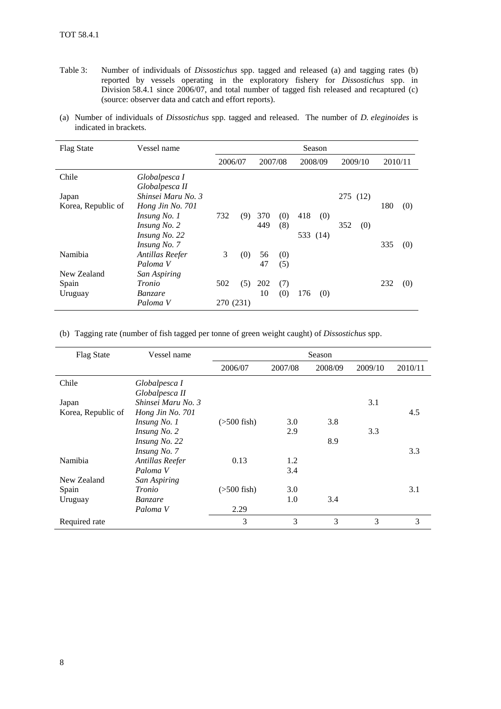- Table 3: Number of individuals of *Dissostichus* spp. tagged and released (a) and tagging rates (b) reported by vessels operating in the exploratory fishery for *Dissostichus* spp. in Division 58.4.1 since 2006/07, and total number of tagged fish released and recaptured (c) (source: observer data and catch and effort reports).
- (a) Number of individuals of *Dissostichus* spp. tagged and released. The number of *D. eleginoides* is indicated in brackets.

| <b>Flag State</b>  | Vessel name                     |           |     |         |     |          | Season |          |         |         |     |
|--------------------|---------------------------------|-----------|-----|---------|-----|----------|--------|----------|---------|---------|-----|
|                    |                                 | 2006/07   |     | 2007/08 |     | 2008/09  |        |          | 2009/10 | 2010/11 |     |
| Chile              | Globalpesca I<br>Globalpesca II |           |     |         |     |          |        |          |         |         |     |
| Japan              | Shinsei Maru No. 3              |           |     |         |     |          |        | 275 (12) |         |         |     |
| Korea, Republic of | Hong Jin No. 701                |           |     |         |     |          |        |          |         | 180     | (0) |
|                    | Insung No. 1                    | 732       | (9) | 370     | (0) | 418      | (0)    |          |         |         |     |
|                    | Insung No. 2                    |           |     | 449     | (8) |          |        | 352      | (0)     |         |     |
|                    | Insung No. 22                   |           |     |         |     | 533 (14) |        |          |         |         |     |
|                    | Insung No. 7                    |           |     |         |     |          |        |          |         | 335     | (0) |
| Namibia            | Antillas Reefer                 | 3         | (0) | 56      | (0) |          |        |          |         |         |     |
|                    | Paloma V                        |           |     | 47      | (5) |          |        |          |         |         |     |
| New Zealand        | San Aspiring                    |           |     |         |     |          |        |          |         |         |     |
| Spain              | Tronio                          | 502       | (5) | 202     | (7) |          |        |          |         | 232     | (0) |
| Uruguay            | <i>Banzare</i>                  |           |     | 10      | (0) | 176      | (0)    |          |         |         |     |
|                    | Paloma V                        | 270 (231) |     |         |     |          |        |          |         |         |     |

(b) Tagging rate (number of fish tagged per tonne of green weight caught) of *Dissostichus* spp.

| Flag State         | Vessel name         |                   |         | Season  |         |         |
|--------------------|---------------------|-------------------|---------|---------|---------|---------|
|                    |                     | 2006/07           | 2007/08 | 2008/09 | 2009/10 | 2010/11 |
| Chile              | Globalpesca I       |                   |         |         |         |         |
|                    | Globalpesca II      |                   |         |         |         |         |
| Japan              | Shinsei Maru No. 3  |                   |         |         | 3.1     |         |
| Korea, Republic of | Hong Jin No. 701    |                   |         |         |         | 4.5     |
|                    | <i>Insung No. 1</i> | $($ >500 fish $)$ | 3.0     | 3.8     |         |         |
|                    | Insung No. 2        |                   | 2.9     |         | 3.3     |         |
|                    | Insung No. 22       |                   |         | 8.9     |         |         |
|                    | Insung No. 7        |                   |         |         |         | 3.3     |
| Namibia            | Antillas Reefer     | 0.13              | 1.2     |         |         |         |
|                    | Paloma V            |                   | 3.4     |         |         |         |
| New Zealand        | San Aspiring        |                   |         |         |         |         |
| Spain              | Tronio              | $($ >500 fish $)$ | 3.0     |         |         | 3.1     |
| Uruguay            | <i>Banzare</i>      |                   | 1.0     | 3.4     |         |         |
|                    | Paloma V            | 2.29              |         |         |         |         |
| Required rate      |                     | 3                 | 3       | 3       | 3       | 3       |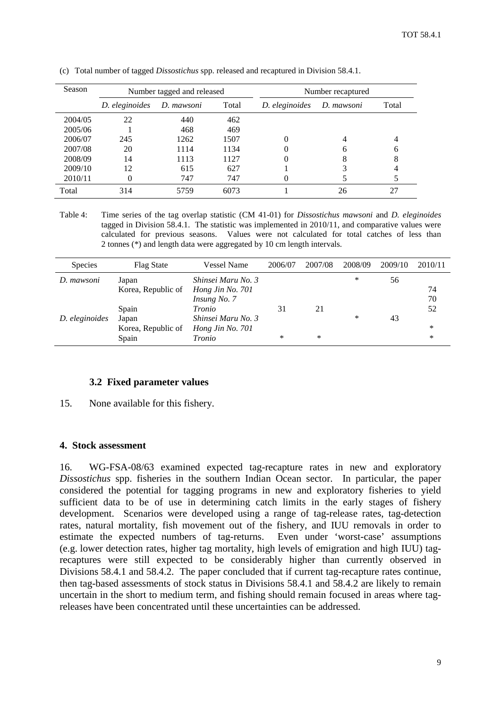| Season  |                | Number tagged and released |       | Number recaptured |            |       |  |
|---------|----------------|----------------------------|-------|-------------------|------------|-------|--|
|         | D. eleginoides | D. mawsoni                 | Total | D. eleginoides    | D. mawsoni | Total |  |
| 2004/05 | 22             | 440                        | 462   |                   |            |       |  |
| 2005/06 |                | 468                        | 469   |                   |            |       |  |
| 2006/07 | 245            | 1262                       | 1507  |                   |            |       |  |
| 2007/08 | 20             | 1114                       | 1134  |                   | h          | 6     |  |
| 2008/09 | 14             | 1113                       | 1127  | 0                 | 8          | 8     |  |
| 2009/10 | 12             | 615                        | 627   |                   |            | 4     |  |
| 2010/11 |                | 747                        | 747   |                   |            |       |  |
| Total   | 314            | 5759                       | 6073  |                   | 26         | 27    |  |

<span id="page-10-0"></span>(c) Total number of tagged *Dissostichus* spp. released and recaptured in Division 58.4.1.

Table 4: Time series of the tag overlap statistic (CM 41-01) for *Dissostichus mawsoni* and *D. eleginoides* tagged in Division 58.4.1. The statistic was implemented in 2010/11, and comparative values were calculated for previous seasons. Values were not calculated for total catches of less than 2 tonnes (\*) and length data were aggregated by 10 cm length intervals.

| <b>Species</b> | <b>Flag State</b>  | <b>Vessel Name</b> | 2006/07 | 2007/08 | 2008/09 | 2009/10 | 2010/11 |
|----------------|--------------------|--------------------|---------|---------|---------|---------|---------|
| D. mawsoni     | Japan              | Shinsei Maru No. 3 |         |         | ∗       | 56      |         |
|                | Korea, Republic of | Hong Jin No. 701   |         |         |         |         | 74      |
|                |                    | Insung No. 7       |         |         |         |         | 70      |
|                | Spain              | Tronio             | 31      | 21      |         |         | 52      |
| D. eleginoides | Japan              | Shinsei Maru No. 3 |         |         | *       | 43      |         |
|                | Korea, Republic of | Hong Jin No. 701   |         |         |         |         | *       |
|                | Spain              | Tronio             | $\ast$  | *       |         |         | *       |

#### **3.2 Fixed parameter values**

15. None available for this fishery.

#### **4. Stock assessment**

16. WG-FSA-08/63 examined expected tag-recapture rates in new and exploratory *Dissostichus* spp. fisheries in the southern Indian Ocean sector. In particular, the paper considered the potential for tagging programs in new and exploratory fisheries to yield sufficient data to be of use in determining catch limits in the early stages of fishery development. Scenarios were developed using a range of tag-release rates, tag-detection rates, natural mortality, fish movement out of the fishery, and IUU removals in order to estimate the expected numbers of tag-returns. Even under 'worst-case' assumptions (e.g. lower detection rates, higher tag mortality, high levels of emigration and high IUU) tagrecaptures were still expected to be considerably higher than currently observed in Divisions 58.4.1 and 58.4.2. The paper concluded that if current tag-recapture rates continue, then tag-based assessments of stock status in Divisions 58.4.1 and 58.4.2 are likely to remain uncertain in the short to medium term, and fishing should remain focused in areas where tagreleases have been concentrated until these uncertainties can be addressed.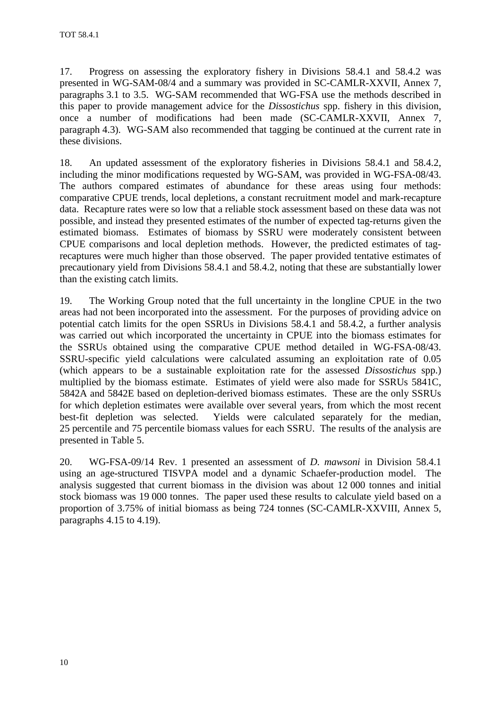17. Progress on assessing the exploratory fishery in Divisions 58.4.1 and 58.4.2 was presented in WG-SAM-08/4 and a summary was provided in SC-CAMLR-XXVII, Annex 7, paragraphs 3.1 to 3.5. WG-SAM recommended that WG-FSA use the methods described in this paper to provide management advice for the *Dissostichus* spp. fishery in this division, once a number of modifications had been made (SC-CAMLR-XXVII, Annex 7, paragraph 4.3). WG-SAM also recommended that tagging be continued at the current rate in these divisions.

18. An updated assessment of the exploratory fisheries in Divisions 58.4.1 and 58.4.2, including the minor modifications requested by WG-SAM, was provided in WG-FSA-08/43. The authors compared estimates of abundance for these areas using four methods: comparative CPUE trends, local depletions, a constant recruitment model and mark-recapture data. Recapture rates were so low that a reliable stock assessment based on these data was not possible, and instead they presented estimates of the number of expected tag-returns given the estimated biomass. Estimates of biomass by SSRU were moderately consistent between CPUE comparisons and local depletion methods. However, the predicted estimates of tagrecaptures were much higher than those observed. The paper provided tentative estimates of precautionary yield from Divisions 58.4.1 and 58.4.2, noting that these are substantially lower than the existing catch limits.

19. The Working Group noted that the full uncertainty in the longline CPUE in the two areas had not been incorporated into the assessment. For the purposes of providing advice on potential catch limits for the open SSRUs in Divisions 58.4.1 and 58.4.2, a further analysis was carried out which incorporated the uncertainty in CPUE into the biomass estimates for the SSRUs obtained using the comparative CPUE method detailed in WG-FSA-08/43. SSRU-specific yield calculations were calculated assuming an exploitation rate of 0.05 (which appears to be a sustainable exploitation rate for the assessed *Dissostichus* spp.) multiplied by the biomass estimate. Estimates of yield were also made for SSRUs 5841C, 5842A and 5842E based on depletion-derived biomass estimates. These are the only SSRUs for which depletion estimates were available over several years, from which the most recent best-fit depletion was selected. Yields were calculated separately for the median, 25 percentile and 75 percentile biomass values for each SSRU. The results of the analysis are presented in Table 5.

20. WG-FSA-09/14 Rev. 1 presented an assessment of *D. mawsoni* in Division 58.4.1 using an age-structured TISVPA model and a dynamic Schaefer-production model. The analysis suggested that current biomass in the division was about 12 000 tonnes and initial stock biomass was 19 000 tonnes. The paper used these results to calculate yield based on a proportion of 3.75% of initial biomass as being 724 tonnes (SC-CAMLR-XXVIII, Annex 5, paragraphs 4.15 to 4.19).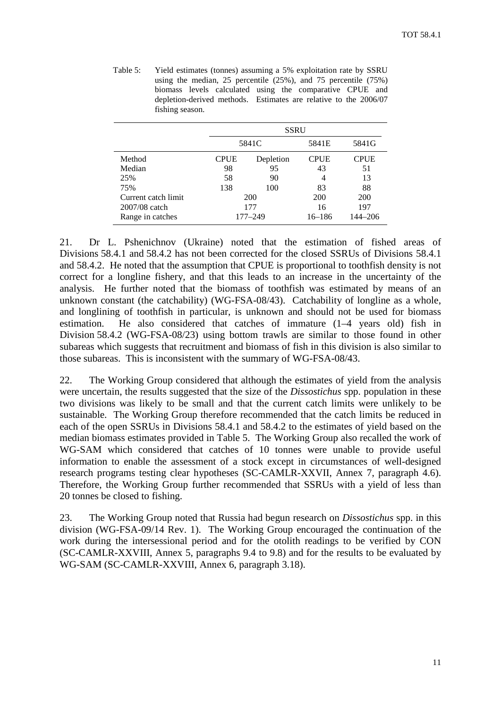| Table 5: | Yield estimates (tonnes) assuming a 5% exploitation rate by SSRU      |
|----------|-----------------------------------------------------------------------|
|          | using the median, 25 percentile $(25\%)$ , and 75 percentile $(75\%)$ |
|          | biomass levels calculated using the comparative CPUE and              |
|          | depletion-derived methods. Estimates are relative to the 2006/07      |
|          | fishing season.                                                       |

|                     |             | SSRU        |             |             |
|---------------------|-------------|-------------|-------------|-------------|
|                     |             | 5841C       | 5841E       | 5841G       |
| Method              | <b>CPUE</b> | Depletion   | <b>CPUE</b> | <b>CPUE</b> |
| Median              | 98          | 95          | 43          | 51          |
| 25%                 | 58          | 90          | 4           | 13          |
| 75%                 | 138         | 100         | 83          | 88          |
| Current catch limit |             | 200         | 200         | <b>200</b>  |
| 2007/08 catch       |             | 177         |             | 197         |
| Range in catches    |             | $177 - 249$ | 16–186      | 144–206     |

21. Dr L. Pshenichnov (Ukraine) noted that the estimation of fished areas of Divisions 58.4.1 and 58.4.2 has not been corrected for the closed SSRUs of Divisions 58.4.1 and 58.4.2. He noted that the assumption that CPUE is proportional to toothfish density is not correct for a longline fishery, and that this leads to an increase in the uncertainty of the analysis. He further noted that the biomass of toothfish was estimated by means of an unknown constant (the catchability) (WG-FSA-08/43). Catchability of longline as a whole, and longlining of toothfish in particular, is unknown and should not be used for biomass estimation. He also considered that catches of immature (1–4 years old) fish in Division 58.4.2 (WG-FSA-08/23) using bottom trawls are similar to those found in other subareas which suggests that recruitment and biomass of fish in this division is also similar to those subareas. This is inconsistent with the summary of WG-FSA-08/43.

22. The Working Group considered that although the estimates of yield from the analysis were uncertain, the results suggested that the size of the *Dissostichus* spp. population in these two divisions was likely to be small and that the current catch limits were unlikely to be sustainable. The Working Group therefore recommended that the catch limits be reduced in each of the open SSRUs in Divisions 58.4.1 and 58.4.2 to the estimates of yield based on the median biomass estimates provided in Table 5. The Working Group also recalled the work of WG-SAM which considered that catches of 10 tonnes were unable to provide useful information to enable the assessment of a stock except in circumstances of well-designed research programs testing clear hypotheses (SC-CAMLR-XXVII, Annex 7, paragraph 4.6). Therefore, the Working Group further recommended that SSRUs with a yield of less than 20 tonnes be closed to fishing.

23. The Working Group noted that Russia had begun research on *Dissostichus* spp. in this division (WG-FSA-09/14 Rev. 1). The Working Group encouraged the continuation of the work during the intersessional period and for the otolith readings to be verified by CON (SC-CAMLR-XXVIII, Annex 5, paragraphs 9.4 to 9.8) and for the results to be evaluated by WG-SAM (SC-CAMLR-XXVIII, Annex 6, paragraph 3.18).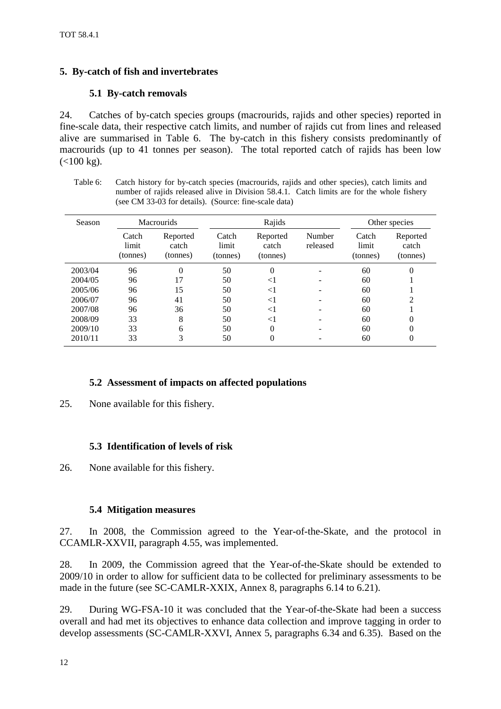# <span id="page-13-0"></span>**5. By-catch of fish and invertebrates**

# **5.1 By-catch removals**

24. Catches of by-catch species groups (macrourids, rajids and other species) reported in fine-scale data, their respective catch limits, and number of rajids cut from lines and released alive are summarised in Table 6. The by-catch in this fishery consists predominantly of macrourids (up to 41 tonnes per season). The total reported catch of rajids has been low  $(<100 kg$ ).

Table 6: Catch history for by-catch species (macrourids, rajids and other species), catch limits and number of rajids released alive in Division 58.4.1. Catch limits are for the whole fishery (see CM 33-03 for details). (Source: fine-scale data)

| Season  | <b>Macrourids</b>          |                               | Rajids                     |                               |                    | Other species              |                               |
|---------|----------------------------|-------------------------------|----------------------------|-------------------------------|--------------------|----------------------------|-------------------------------|
|         | Catch<br>limit<br>(tonnes) | Reported<br>catch<br>(tonnes) | Catch<br>limit<br>(tonnes) | Reported<br>catch<br>(tonnes) | Number<br>released | Catch<br>limit<br>(tonnes) | Reported<br>catch<br>(tonnes) |
| 2003/04 | 96                         | $\Omega$                      | 50                         | $\Omega$                      |                    | 60                         | 0                             |
| 2004/05 | 96                         | 17                            | 50                         | $<$ l                         |                    | 60                         |                               |
| 2005/06 | 96                         | 15                            | 50                         | $< \! 1$                      |                    | 60                         |                               |
| 2006/07 | 96                         | 41                            | 50                         | $<$ 1                         |                    | 60                         | $\mathfrak{D}$                |
| 2007/08 | 96                         | 36                            | 50                         | $< \! 1$                      |                    | 60                         |                               |
| 2008/09 | 33                         | 8                             | 50                         | $< \! 1$                      |                    | 60                         | 0                             |
| 2009/10 | 33                         | 6                             | 50                         | $\theta$                      |                    | 60                         | 0                             |
| 2010/11 | 33                         | 3                             | 50                         | 0                             |                    | 60                         | 0                             |

# **5.2 Assessment of impacts on affected populations**

25. None available for this fishery.

# **5.3 Identification of levels of risk**

26. None available for this fishery.

# **5.4 Mitigation measures**

27. In 2008, the Commission agreed to the Year-of-the-Skate, and the protocol in CCAMLR-XXVII, paragraph 4.55, was implemented.

28. In 2009, the Commission agreed that the Year-of-the-Skate should be extended to 2009/10 in order to allow for sufficient data to be collected for preliminary assessments to be made in the future (see SC-CAMLR-XXIX, Annex 8, paragraphs 6.14 to 6.21).

29. During WG-FSA-10 it was concluded that the Year-of-the-Skate had been a success overall and had met its objectives to enhance data collection and improve tagging in order to develop assessments (SC-CAMLR-XXVI, Annex 5, paragraphs 6.34 and 6.35). Based on the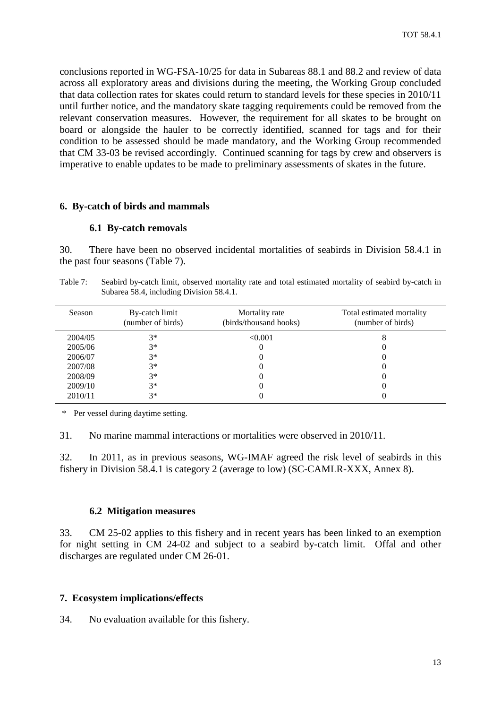<span id="page-14-0"></span>conclusions reported in WG-FSA-10/25 for data in Subareas 88.1 and 88.2 and review of data across all exploratory areas and divisions during the meeting, the Working Group concluded that data collection rates for skates could return to standard levels for these species in 2010/11 until further notice, and the mandatory skate tagging requirements could be removed from the relevant conservation measures. However, the requirement for all skates to be brought on board or alongside the hauler to be correctly identified, scanned for tags and for their condition to be assessed should be made mandatory, and the Working Group recommended that CM 33-03 be revised accordingly. Continued scanning for tags by crew and observers is imperative to enable updates to be made to preliminary assessments of skates in the future.

#### **6. By-catch of birds and mammals**

#### **6.1 By-catch removals**

30. There have been no observed incidental mortalities of seabirds in Division 58.4.1 in the past four seasons (Table 7).

| Table 7: | Seabird by-catch limit, observed mortality rate and total estimated mortality of seabird by-catch in |
|----------|------------------------------------------------------------------------------------------------------|
|          | Subarea 58.4, including Division 58.4.1.                                                             |

| Season  | By-catch limit<br>(number of birds) | Mortality rate<br>(birds/thousand hooks) | Total estimated mortality<br>(number of birds) |
|---------|-------------------------------------|------------------------------------------|------------------------------------------------|
| 2004/05 | $3*$                                | < 0.001                                  |                                                |
| 2005/06 | $3*$                                |                                          |                                                |
| 2006/07 | $3*$                                |                                          |                                                |
| 2007/08 | $3*$                                |                                          |                                                |
| 2008/09 | $3*$                                |                                          |                                                |
| 2009/10 | $3*$                                |                                          |                                                |
| 2010/11 | $3*$                                |                                          |                                                |

\* Per vessel during daytime setting.

31. No marine mammal interactions or mortalities were observed in 2010/11.

32. In 2011, as in previous seasons, WG-IMAF agreed the risk level of seabirds in this fishery in Division 58.4.1 is category 2 (average to low) (SC-CAMLR-XXX, Annex 8).

### **6.2 Mitigation measures**

33. CM 25-02 applies to this fishery and in recent years has been linked to an exemption for night setting in CM 24-02 and subject to a seabird by-catch limit. Offal and other discharges are regulated under CM 26-01.

#### **7. Ecosystem implications/effects**

34. No evaluation available for this fishery.